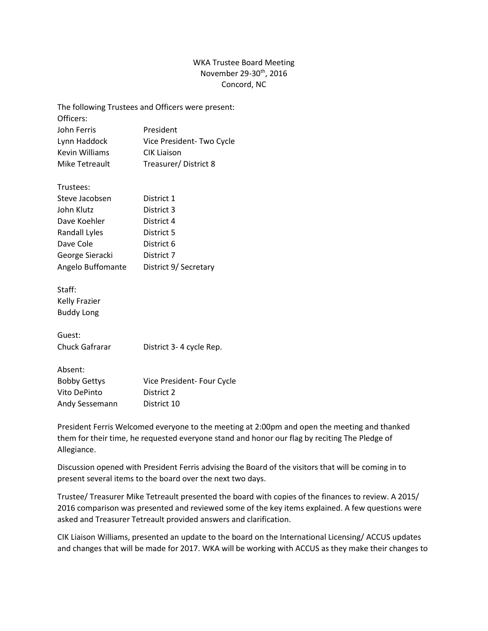## WKA Trustee Board Meeting November 29-30th, 2016 Concord, NC

| The following Trustees and Officers were present: |                            |
|---------------------------------------------------|----------------------------|
| Officers:                                         |                            |
| John Ferris                                       | President                  |
| Lynn Haddock                                      | Vice President-Two Cycle   |
| <b>Kevin Williams</b>                             | <b>CIK Liaison</b>         |
| Mike Tetreault                                    | Treasurer/District 8       |
| Trustees:                                         |                            |
| Steve Jacobsen                                    | District 1                 |
| John Klutz                                        | District 3                 |
| Dave Koehler                                      | District 4                 |
| Randall Lyles                                     | District 5                 |
| Dave Cole                                         | District 6                 |
| George Sieracki                                   | District 7                 |
| Angelo Buffomante                                 | District 9/ Secretary      |
| Staff:                                            |                            |
| <b>Kelly Frazier</b>                              |                            |
| <b>Buddy Long</b>                                 |                            |
| Guest:                                            |                            |
| Chuck Gafrarar                                    | District 3-4 cycle Rep.    |
| Absent:                                           |                            |
| <b>Bobby Gettys</b>                               | Vice President- Four Cycle |
| Vito DePinto                                      | District 2                 |
| Andy Sessemann                                    | District 10                |

President Ferris Welcomed everyone to the meeting at 2:00pm and open the meeting and thanked them for their time, he requested everyone stand and honor our flag by reciting The Pledge of Allegiance.

Discussion opened with President Ferris advising the Board of the visitors that will be coming in to present several items to the board over the next two days.

Trustee/ Treasurer Mike Tetreault presented the board with copies of the finances to review. A 2015/ 2016 comparison was presented and reviewed some of the key items explained. A few questions were asked and Treasurer Tetreault provided answers and clarification.

CIK Liaison Williams, presented an update to the board on the International Licensing/ ACCUS updates and changes that will be made for 2017. WKA will be working with ACCUS as they make their changes to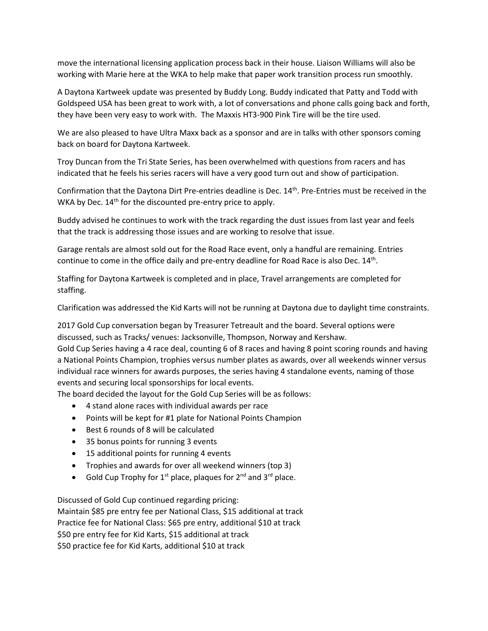move the international licensing application process back in their house. Liaison Williams will also be working with Marie here at the WKA to help make that paper work transition process run smoothly.

A Daytona Kartweek update was presented by Buddy Long. Buddy indicated that Patty and Todd with Goldspeed USA has been great to work with, a lot of conversations and phone calls going back and forth, they have been very easy to work with. The Maxxis HT3-900 Pink Tire will be the tire used.

We are also pleased to have Ultra Maxx back as a sponsor and are in talks with other sponsors coming back on board for Daytona Kartweek.

Troy Duncan from the Tri State Series, has been overwhelmed with questions from racers and has indicated that he feels his series racers will have a very good turn out and show of participation.

Confirmation that the Daytona Dirt Pre-entries deadline is Dec. 14<sup>th</sup>. Pre-Entries must be received in the WKA by Dec. 14<sup>th</sup> for the discounted pre-entry price to apply.

Buddy advised he continues to work with the track regarding the dust issues from last year and feels that the track is addressing those issues and are working to resolve that issue.

Garage rentals are almost sold out for the Road Race event, only a handful are remaining. Entries continue to come in the office daily and pre-entry deadline for Road Race is also Dec.  $14<sup>th</sup>$ .

Staffing for Daytona Kartweek is completed and in place, Travel arrangements are completed for staffing.

Clarification was addressed the Kid Karts will not be running at Daytona due to daylight time constraints.

2017 Gold Cup conversation began by Treasurer Tetreault and the board. Several options were discussed, such as Tracks/ venues: Jacksonville, Thompson, Norway and Kershaw.

Gold Cup Series having a 4 race deal, counting 6 of 8 races and having 8 point scoring rounds and having a National Points Champion, trophies versus number plates as awards, over all weekends winner versus individual race winners for awards purposes, the series having 4 standalone events, naming of those events and securing local sponsorships for local events.

The board decided the layout for the Gold Cup Series will be as follows:

- 4 stand alone races with individual awards per race
- Points will be kept for #1 plate for National Points Champion
- Best 6 rounds of 8 will be calculated
- 35 bonus points for running 3 events
- 15 additional points for running 4 events
- Trophies and awards for over all weekend winners (top 3)
- Gold Cup Trophy for  $1^{st}$  place, plaques for  $2^{nd}$  and  $3^{rd}$  place.

Discussed of Gold Cup continued regarding pricing: Maintain \$85 pre entry fee per National Class, \$15 additional at track Practice fee for National Class: \$65 pre entry, additional \$10 at track \$50 pre entry fee for Kid Karts, \$15 additional at track \$50 practice fee for Kid Karts, additional \$10 at track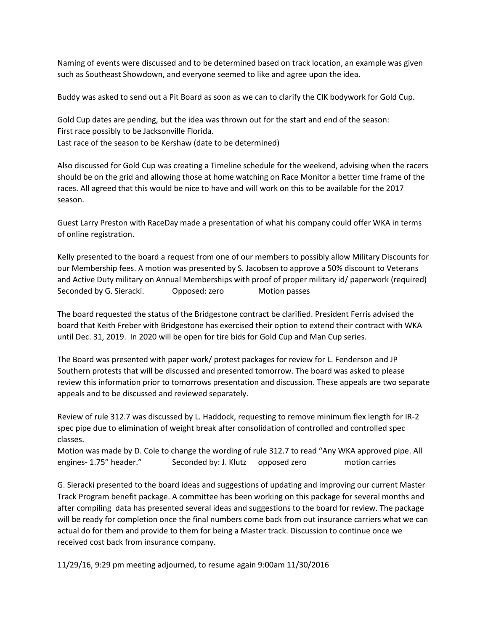Naming of events were discussed and to be determined based on track location, an example was given such as Southeast Showdown, and everyone seemed to like and agree upon the idea.

Buddy was asked to send out a Pit Board as soon as we can to clarify the CIK bodywork for Gold Cup.

Gold Cup dates are pending, but the idea was thrown out for the start and end of the season: First race possibly to be Jacksonville Florida. Last race of the season to be Kershaw (date to be determined)

Also discussed for Gold Cup was creating a Timeline schedule for the weekend, advising when the racers should be on the grid and allowing those at home watching on Race Monitor a better time frame of the races. All agreed that this would be nice to have and will work on this to be available for the 2017 season.

Guest Larry Preston with RaceDay made a presentation of what his company could offer WKA in terms of online registration.

Kelly presented to the board a request from one of our members to possibly allow Military Discounts for our Membership fees. A motion was presented by S. Jacobsen to approve a 50% discount to Veterans and Active Duty military on Annual Memberships with proof of proper military id/ paperwork (required) Seconded by G. Sieracki. Copposed: zero Motion passes

The board requested the status of the Bridgestone contract be clarified. President Ferris advised the board that Keith Freber with Bridgestone has exercised their option to extend their contract with WKA until Dec. 31, 2019. In 2020 will be open for tire bids for Gold Cup and Man Cup series.

The Board was presented with paper work/ protest packages for review for L. Fenderson and JP Southern protests that will be discussed and presented tomorrow. The board was asked to please review this information prior to tomorrows presentation and discussion. These appeals are two separate appeals and to be discussed and reviewed separately.

Review of rule 312.7 was discussed by L. Haddock, requesting to remove minimum flex length for IR-2 spec pipe due to elimination of weight break after consolidation of controlled and controlled spec classes.

Motion was made by D. Cole to change the wording of rule 312.7 to read "Any WKA approved pipe. All engines- 1.75" header." Seconded by: J. Klutz opposed zero motion carries

G. Sieracki presented to the board ideas and suggestions of updating and improving our current Master Track Program benefit package. A committee has been working on this package for several months and after compiling data has presented several ideas and suggestions to the board for review. The package will be ready for completion once the final numbers come back from out insurance carriers what we can actual do for them and provide to them for being a Master track. Discussion to continue once we received cost back from insurance company.

11/29/16, 9:29 pm meeting adjourned, to resume again 9:00am 11/30/2016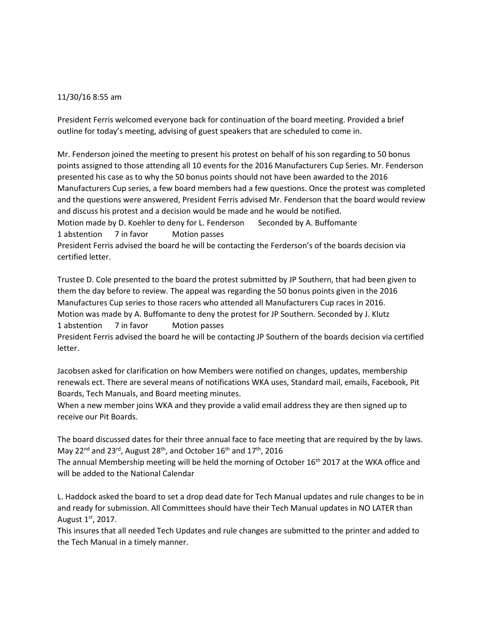## 11/30/16 8:55 am

President Ferris welcomed everyone back for continuation of the board meeting. Provided a brief outline for today's meeting, advising of guest speakers that are scheduled to come in.

Mr. Fenderson joined the meeting to present his protest on behalf of his son regarding to 50 bonus points assigned to those attending all 10 events for the 2016 Manufacturers Cup Series. Mr. Fenderson presented his case as to why the 50 bonus points should not have been awarded to the 2016 Manufacturers Cup series, a few board members had a few questions. Once the protest was completed and the questions were answered, President Ferris advised Mr. Fenderson that the board would review and discuss his protest and a decision would be made and he would be notified.

Motion made by D. Koehler to deny for L. Fenderson Seconded by A. Buffomante 1 abstention 7 in favor Motion passes

President Ferris advised the board he will be contacting the Ferderson's of the boards decision via certified letter.

Trustee D. Cole presented to the board the protest submitted by JP Southern, that had been given to them the day before to review. The appeal was regarding the 50 bonus points given in the 2016 Manufactures Cup series to those racers who attended all Manufacturers Cup races in 2016. Motion was made by A. Buffomante to deny the protest for JP Southern. Seconded by J. Klutz 1 abstention 7 in favor Motion passes

President Ferris advised the board he will be contacting JP Southern of the boards decision via certified letter.

Jacobsen asked for clarification on how Members were notified on changes, updates, membership renewals ect. There are several means of notifications WKA uses, Standard mail, emails, Facebook, Pit Boards, Tech Manuals, and Board meeting minutes.

When a new member joins WKA and they provide a valid email address they are then signed up to receive our Pit Boards.

The board discussed dates for their three annual face to face meeting that are required by the by laws. May 22<sup>nd</sup> and 23<sup>rd</sup>, August 28<sup>th</sup>, and October 16<sup>th</sup> and 17<sup>th</sup>, 2016

The annual Membership meeting will be held the morning of October 16<sup>th</sup> 2017 at the WKA office and will be added to the National Calendar

L. Haddock asked the board to set a drop dead date for Tech Manual updates and rule changes to be in and ready for submission. All Committees should have their Tech Manual updates in NO LATER than August  $1<sup>st</sup>$ , 2017.

This insures that all needed Tech Updates and rule changes are submitted to the printer and added to the Tech Manual in a timely manner.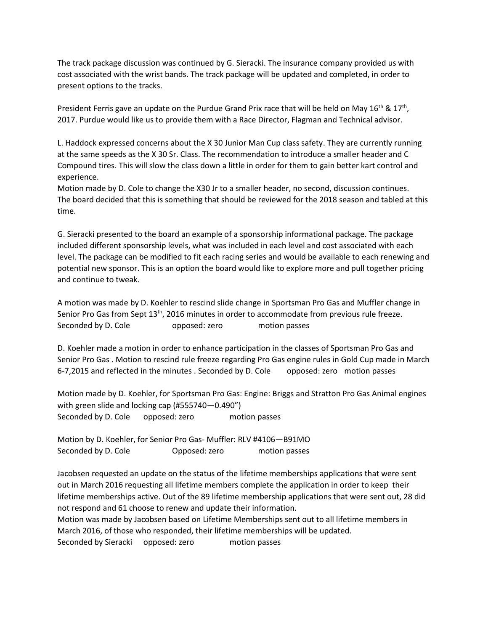The track package discussion was continued by G. Sieracki. The insurance company provided us with cost associated with the wrist bands. The track package will be updated and completed, in order to present options to the tracks.

President Ferris gave an update on the Purdue Grand Prix race that will be held on May 16<sup>th</sup> & 17<sup>th</sup>, 2017. Purdue would like us to provide them with a Race Director, Flagman and Technical advisor.

L. Haddock expressed concerns about the X 30 Junior Man Cup class safety. They are currently running at the same speeds as the X 30 Sr. Class. The recommendation to introduce a smaller header and C Compound tires. This will slow the class down a little in order for them to gain better kart control and experience.

Motion made by D. Cole to change the X30 Jr to a smaller header, no second, discussion continues. The board decided that this is something that should be reviewed for the 2018 season and tabled at this time.

G. Sieracki presented to the board an example of a sponsorship informational package. The package included different sponsorship levels, what was included in each level and cost associated with each level. The package can be modified to fit each racing series and would be available to each renewing and potential new sponsor. This is an option the board would like to explore more and pull together pricing and continue to tweak.

A motion was made by D. Koehler to rescind slide change in Sportsman Pro Gas and Muffler change in Senior Pro Gas from Sept 13<sup>th</sup>, 2016 minutes in order to accommodate from previous rule freeze. Seconded by D. Cole opposed: zero motion passes

D. Koehler made a motion in order to enhance participation in the classes of Sportsman Pro Gas and Senior Pro Gas . Motion to rescind rule freeze regarding Pro Gas engine rules in Gold Cup made in March 6-7,2015 and reflected in the minutes . Seconded by D. Cole opposed: zero motion passes

Motion made by D. Koehler, for Sportsman Pro Gas: Engine: Briggs and Stratton Pro Gas Animal engines with green slide and locking cap (#555740—0.490") Seconded by D. Cole opposed: zero motion passes

Motion by D. Koehler, for Senior Pro Gas- Muffler: RLV #4106—B91MO Seconded by D. Cole **Opposed: zero** motion passes

Jacobsen requested an update on the status of the lifetime memberships applications that were sent out in March 2016 requesting all lifetime members complete the application in order to keep their lifetime memberships active. Out of the 89 lifetime membership applications that were sent out, 28 did not respond and 61 choose to renew and update their information.

Motion was made by Jacobsen based on Lifetime Memberships sent out to all lifetime members in March 2016, of those who responded, their lifetime memberships will be updated.

Seconded by Sieracki opposed: zero motion passes